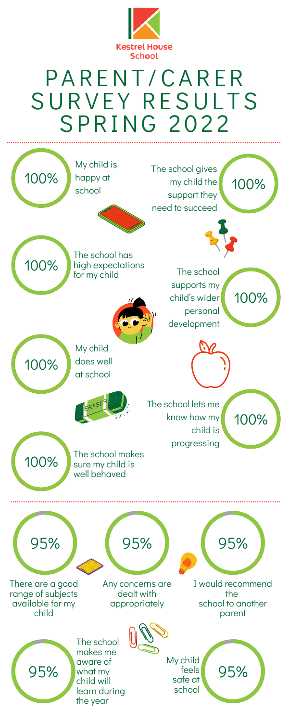100%



## P A R ENT /CA R E R SURVEY RESULTS S P R I N G 2 0 2 2

100%

100%

My child is

The school gives

my child the

support they

My child does well at school



The school lets me know how my child is

100% 100% happy at school need to succeed The school has high expectations for my child



The school

supports my

child' s wider

personal

development



## The school makes sure my child is well behaved

100%

100%